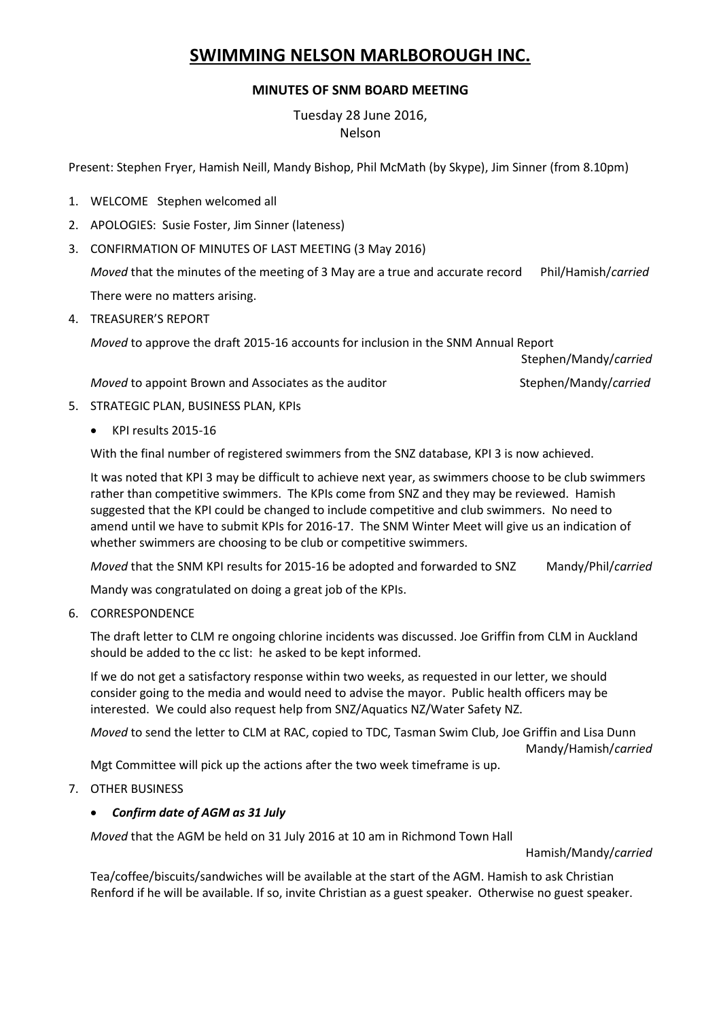# **SWIMMING NELSON MARLBOROUGH INC.**

## **MINUTES OF SNM BOARD MEETING**

Tuesday 28 June 2016, Nelson

Present: Stephen Fryer, Hamish Neill, Mandy Bishop, Phil McMath (by Skype), Jim Sinner (from 8.10pm)

- 1. WELCOME Stephen welcomed all
- 2. APOLOGIES: Susie Foster, Jim Sinner (lateness)
- 3. CONFIRMATION OF MINUTES OF LAST MEETING (3 May 2016)

*Moved* that the minutes of the meeting of 3 May are a true and accurate record Phil/Hamish/*carried* There were no matters arising.

4. TREASURER'S REPORT

*Moved* to approve the draft 2015-16 accounts for inclusion in the SNM Annual Report

Stephen/Mandy/*carried*

*Moved* to appoint Brown and Associates as the auditor Stephen/Mandy/*carried* 

- 5. STRATEGIC PLAN, BUSINESS PLAN, KPIs
	- KPI results 2015-16

With the final number of registered swimmers from the SNZ database, KPI 3 is now achieved.

It was noted that KPI 3 may be difficult to achieve next year, as swimmers choose to be club swimmers rather than competitive swimmers. The KPIs come from SNZ and they may be reviewed. Hamish suggested that the KPI could be changed to include competitive and club swimmers. No need to amend until we have to submit KPIs for 2016-17. The SNM Winter Meet will give us an indication of whether swimmers are choosing to be club or competitive swimmers.

*Moved* that the SNM KPI results for 2015-16 be adopted and forwarded to SNZ Mandy/Phil/*carried*

Mandy was congratulated on doing a great job of the KPIs.

6. CORRESPONDENCE

The draft letter to CLM re ongoing chlorine incidents was discussed. Joe Griffin from CLM in Auckland should be added to the cc list: he asked to be kept informed.

If we do not get a satisfactory response within two weeks, as requested in our letter, we should consider going to the media and would need to advise the mayor. Public health officers may be interested. We could also request help from SNZ/Aquatics NZ/Water Safety NZ.

*Moved* to send the letter to CLM at RAC, copied to TDC, Tasman Swim Club, Joe Griffin and Lisa Dunn Mandy/Hamish/*carried*

Mgt Committee will pick up the actions after the two week timeframe is up.

7. OTHER BUSINESS

#### *Confirm date of AGM as 31 July*

*Moved* that the AGM be held on 31 July 2016 at 10 am in Richmond Town Hall

Hamish/Mandy/*carried*

Tea/coffee/biscuits/sandwiches will be available at the start of the AGM. Hamish to ask Christian Renford if he will be available. If so, invite Christian as a guest speaker. Otherwise no guest speaker.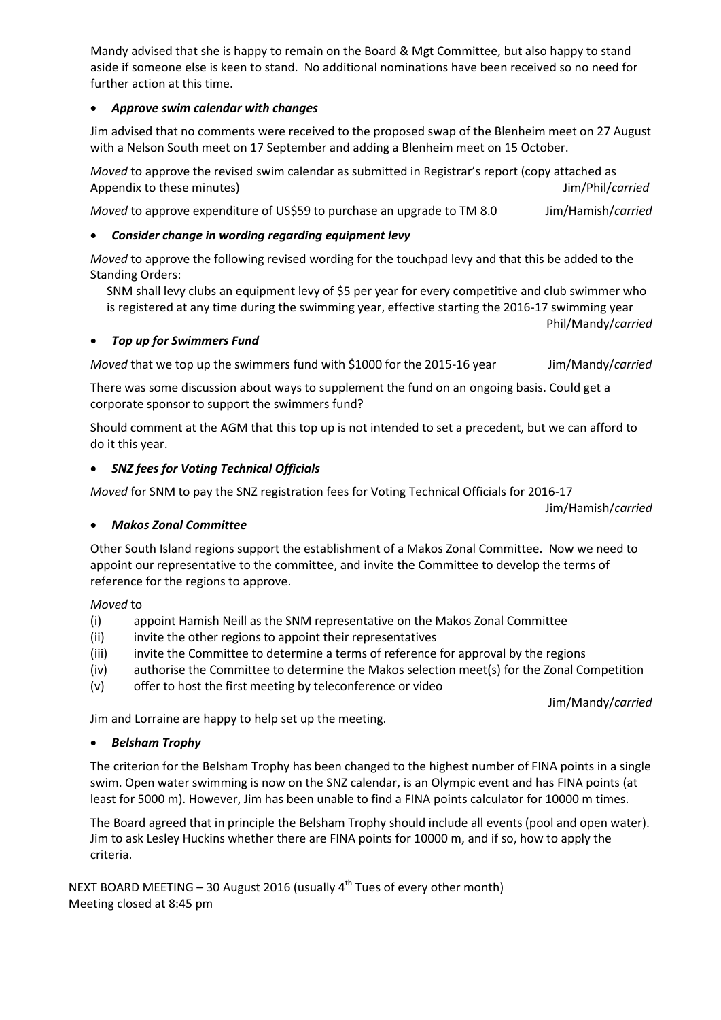Mandy advised that she is happy to remain on the Board & Mgt Committee, but also happy to stand aside if someone else is keen to stand. No additional nominations have been received so no need for further action at this time.

## *Approve swim calendar with changes*

Jim advised that no comments were received to the proposed swap of the Blenheim meet on 27 August with a Nelson South meet on 17 September and adding a Blenheim meet on 15 October.

*Moved* to approve the revised swim calendar as submitted in Registrar's report (copy attached as Appendix to these minutes) Jim/Phil/*carried*

*Moved* to approve expenditure of US\$59 to purchase an upgrade to TM 8.0 Jim/Hamish/*carried*

# *Consider change in wording regarding equipment levy*

*Moved* to approve the following revised wording for the touchpad levy and that this be added to the Standing Orders:

SNM shall levy clubs an equipment levy of \$5 per year for every competitive and club swimmer who is registered at any time during the swimming year, effective starting the 2016-17 swimming year

Phil/Mandy/*carried*

### *Top up for Swimmers Fund*

*Moved* that we top up the swimmers fund with \$1000 for the 2015-16 year Jim/Mandy/*carried* 

There was some discussion about ways to supplement the fund on an ongoing basis. Could get a corporate sponsor to support the swimmers fund?

Should comment at the AGM that this top up is not intended to set a precedent, but we can afford to do it this year.

### *SNZ fees for Voting Technical Officials*

*Moved* for SNM to pay the SNZ registration fees for Voting Technical Officials for 2016-17

Jim/Hamish/*carried*

### *Makos Zonal Committee*

Other South Island regions support the establishment of a Makos Zonal Committee. Now we need to appoint our representative to the committee, and invite the Committee to develop the terms of reference for the regions to approve.

### *Moved* to

- (i) appoint Hamish Neill as the SNM representative on the Makos Zonal Committee
- (ii) invite the other regions to appoint their representatives
- (iii) invite the Committee to determine a terms of reference for approval by the regions
- (iv) authorise the Committee to determine the Makos selection meet(s) for the Zonal Competition
- (v) offer to host the first meeting by teleconference or video

Jim/Mandy/*carried*

Jim and Lorraine are happy to help set up the meeting.

### *Belsham Trophy*

The criterion for the Belsham Trophy has been changed to the highest number of FINA points in a single swim. Open water swimming is now on the SNZ calendar, is an Olympic event and has FINA points (at least for 5000 m). However, Jim has been unable to find a FINA points calculator for 10000 m times.

The Board agreed that in principle the Belsham Trophy should include all events (pool and open water). Jim to ask Lesley Huckins whether there are FINA points for 10000 m, and if so, how to apply the criteria.

NEXT BOARD MEETING - 30 August 2016 (usually 4<sup>th</sup> Tues of every other month) Meeting closed at 8:45 pm